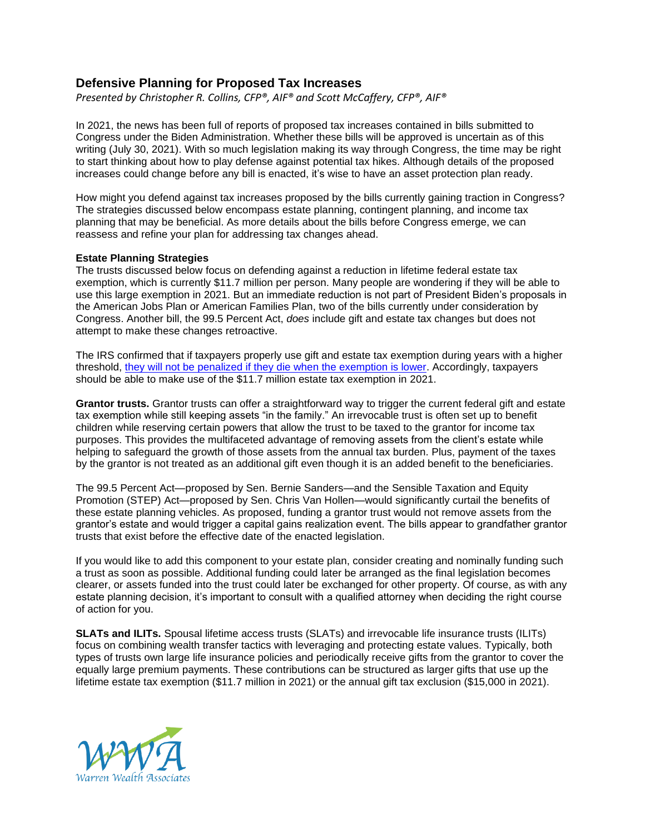# **Defensive Planning for Proposed Tax Increases**

*Presented by Christopher R. Collins, CFP®, AIF® and Scott McCaffery, CFP®, AIF®*

In 2021, the news has been full of reports of proposed tax increases contained in bills submitted to Congress under the Biden Administration. Whether these bills will be approved is uncertain as of this writing (July 30, 2021). With so much legislation making its way through Congress, the time may be right to start thinking about how to play defense against potential tax hikes. Although details of the proposed increases could change before any bill is enacted, it's wise to have an asset protection plan ready.

How might you defend against tax increases proposed by the bills currently gaining traction in Congress? The strategies discussed below encompass estate planning, contingent planning, and income tax planning that may be beneficial. As more details about the bills before Congress emerge, we can reassess and refine your plan for addressing tax changes ahead.

## **Estate Planning Strategies**

The trusts discussed below focus on defending against a reduction in lifetime federal estate tax exemption, which is currently \$11.7 million per person. Many people are wondering if they will be able to use this large exemption in 2021. But an immediate reduction is not part of President Biden's proposals in the American Jobs Plan or American Families Plan, two of the bills currently under consideration by Congress. Another bill, the 99.5 Percent Act, *does* include gift and estate tax changes but does not attempt to make these changes retroactive.

The IRS confirmed that if taxpayers properly use gift and estate tax exemption during years with a higher threshold, they will not be penalized if they die [when the exemption is lower.](https://www.federalregister.gov/documents/2019/11/26/2019-25601/estate-and-gift-taxes-difference-in-the-basic-exclusion-amount) Accordingly, taxpayers should be able to make use of the \$11.7 million estate tax exemption in 2021.

**Grantor trusts.** Grantor trusts can offer a straightforward way to trigger the current federal gift and estate tax exemption while still keeping assets "in the family." An irrevocable trust is often set up to benefit children while reserving certain powers that allow the trust to be taxed to the grantor for income tax purposes. This provides the multifaceted advantage of removing assets from the client's estate while helping to safeguard the growth of those assets from the annual tax burden. Plus, payment of the taxes by the grantor is not treated as an additional gift even though it is an added benefit to the beneficiaries.

The 99.5 Percent Act—proposed by Sen. Bernie Sanders—and the Sensible Taxation and Equity Promotion (STEP) Act—proposed by Sen. Chris Van Hollen—would significantly curtail the benefits of these estate planning vehicles. As proposed, funding a grantor trust would not remove assets from the grantor's estate and would trigger a capital gains realization event. The bills appear to grandfather grantor trusts that exist before the effective date of the enacted legislation.

If you would like to add this component to your estate plan, consider creating and nominally funding such a trust as soon as possible. Additional funding could later be arranged as the final legislation becomes clearer, or assets funded into the trust could later be exchanged for other property. Of course, as with any estate planning decision, it's important to consult with a qualified attorney when deciding the right course of action for you.

**SLATs and ILITs.** Spousal lifetime access trusts (SLATs) and irrevocable life insurance trusts (ILITs) focus on combining wealth transfer tactics with leveraging and protecting estate values. Typically, both types of trusts own large life insurance policies and periodically receive gifts from the grantor to cover the equally large premium payments. These contributions can be structured as larger gifts that use up the lifetime estate tax exemption (\$11.7 million in 2021) or the annual gift tax exclusion (\$15,000 in 2021).

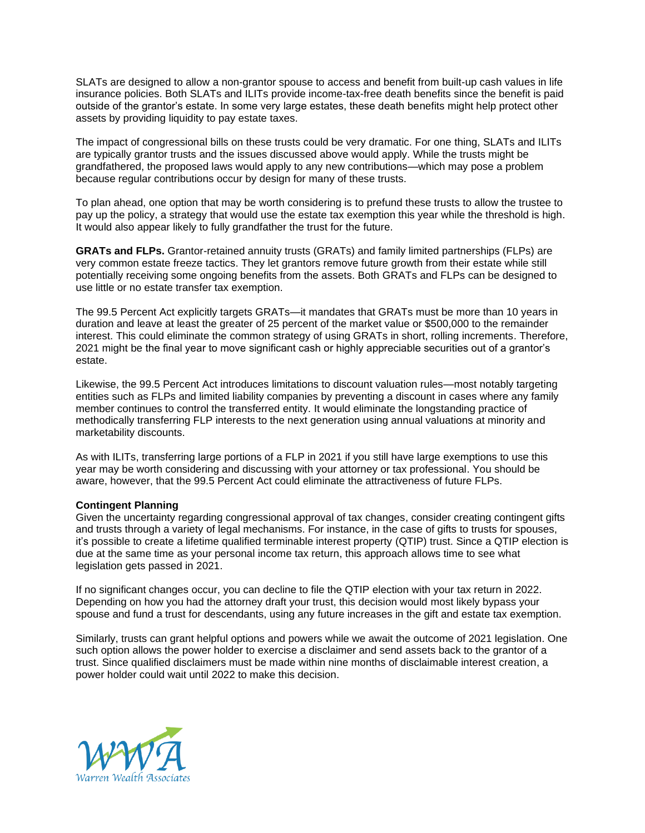SLATs are designed to allow a non-grantor spouse to access and benefit from built-up cash values in life insurance policies. Both SLATs and ILITs provide income-tax-free death benefits since the benefit is paid outside of the grantor's estate. In some very large estates, these death benefits might help protect other assets by providing liquidity to pay estate taxes.

The impact of congressional bills on these trusts could be very dramatic. For one thing, SLATs and ILITs are typically grantor trusts and the issues discussed above would apply. While the trusts might be grandfathered, the proposed laws would apply to any new contributions—which may pose a problem because regular contributions occur by design for many of these trusts.

To plan ahead, one option that may be worth considering is to prefund these trusts to allow the trustee to pay up the policy, a strategy that would use the estate tax exemption this year while the threshold is high. It would also appear likely to fully grandfather the trust for the future.

**GRATs and FLPs.** Grantor-retained annuity trusts (GRATs) and family limited partnerships (FLPs) are very common estate freeze tactics. They let grantors remove future growth from their estate while still potentially receiving some ongoing benefits from the assets. Both GRATs and FLPs can be designed to use little or no estate transfer tax exemption.

The 99.5 Percent Act explicitly targets GRATs—it mandates that GRATs must be more than 10 years in duration and leave at least the greater of 25 percent of the market value or \$500,000 to the remainder interest. This could eliminate the common strategy of using GRATs in short, rolling increments. Therefore, 2021 might be the final year to move significant cash or highly appreciable securities out of a grantor's estate.

Likewise, the 99.5 Percent Act introduces limitations to discount valuation rules—most notably targeting entities such as FLPs and limited liability companies by preventing a discount in cases where any family member continues to control the transferred entity. It would eliminate the longstanding practice of methodically transferring FLP interests to the next generation using annual valuations at minority and marketability discounts.

As with ILITs, transferring large portions of a FLP in 2021 if you still have large exemptions to use this year may be worth considering and discussing with your attorney or tax professional. You should be aware, however, that the 99.5 Percent Act could eliminate the attractiveness of future FLPs.

## **Contingent Planning**

Given the uncertainty regarding congressional approval of tax changes, consider creating contingent gifts and trusts through a variety of legal mechanisms. For instance, in the case of gifts to trusts for spouses, it's possible to create a lifetime qualified terminable interest property (QTIP) trust. Since a QTIP election is due at the same time as your personal income tax return, this approach allows time to see what legislation gets passed in 2021.

If no significant changes occur, you can decline to file the QTIP election with your tax return in 2022. Depending on how you had the attorney draft your trust, this decision would most likely bypass your spouse and fund a trust for descendants, using any future increases in the gift and estate tax exemption.

Similarly, trusts can grant helpful options and powers while we await the outcome of 2021 legislation. One such option allows the power holder to exercise a disclaimer and send assets back to the grantor of a trust. Since qualified disclaimers must be made within nine months of disclaimable interest creation, a power holder could wait until 2022 to make this decision.